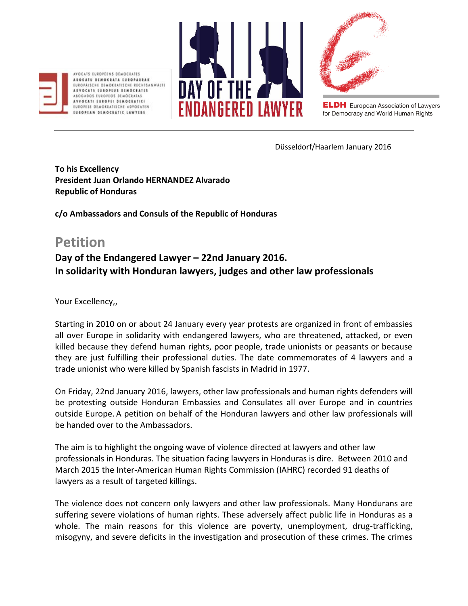

AVOCATS EUROPEENS DEMOCRATES ABOKATO DEMOKRATA EUROPARRAK EUROPAISCHE DEMOKRATISCHE RECHTSANWALTE ADVOCATS EUROPEUS DEMOCRATES ABOGADOS EUROFEOS DEMOCRATAS AVVOCATI LUROPEI DEMOCRATICI EUROPESE DEMOKRATISCHE ADVOKATEN **EUROPEAN DEMOCRATIC LAWYERS** 





**ELDH** European Association of Lawyers for Democracy and World Human Rights

Düsseldorf/Haarlem January 2016

**To his Excellency President Juan Orlando HERNANDEZ Alvarado Republic of Honduras**

**c/o Ambassadors and Consuls of the Republic of Honduras**

# **Petition**

## **Day of the Endangered Lawyer – 22nd January 2016. In solidarity with Honduran lawyers, judges and other law professionals**

Your Excellency,,

Starting in 2010 on or about 24 January every year protests are organized in front of embassies all over Europe in solidarity with endangered lawyers, who are threatened, attacked, or even killed because they defend human rights, poor people, trade unionists or peasants or because they are just fulfilling their professional duties. The date commemorates of 4 lawyers and a trade unionist who were killed by Spanish fascists in Madrid in 1977.

On Friday, 22nd January 2016, lawyers, other law professionals and human rights defenders will be protesting outside Honduran Embassies and Consulates all over Europe and in countries outside Europe. A petition on behalf of the Honduran lawyers and other law professionals will be handed over to the Ambassadors.

The aim is to highlight the ongoing wave of violence directed at lawyers and other law professionals in Honduras. The situation facing lawyers in Honduras is dire. Between 2010 and March 2015 the Inter-American Human Rights Commission (IAHRC) recorded 91 deaths of lawyers as a result of targeted killings.

The violence does not concern only lawyers and other law professionals. Many Hondurans are suffering severe violations of human rights. These adversely affect public life in Honduras as a whole. The main reasons for this violence are poverty, unemployment, drug-trafficking, misogyny, and severe deficits in the investigation and prosecution of these crimes. The crimes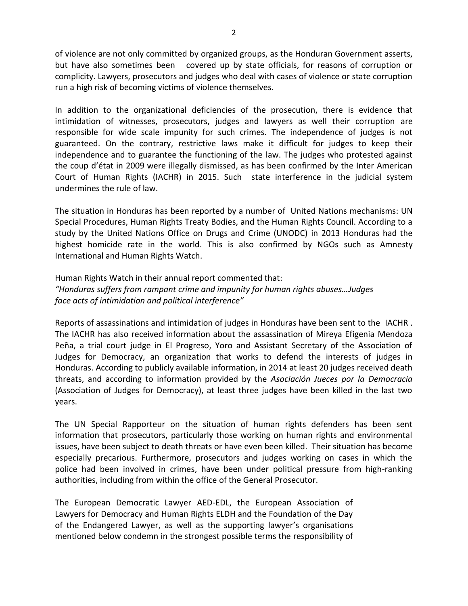of violence are not only committed by organized groups, as the Honduran Government asserts, but have also sometimes been covered up by state officials, for reasons of corruption or complicity. Lawyers, prosecutors and judges who deal with cases of violence or state corruption run a high risk of becoming victims of violence themselves.

In addition to the organizational deficiencies of the prosecution, there is evidence that intimidation of witnesses, prosecutors, judges and lawyers as well their corruption are responsible for wide scale impunity for such crimes. The independence of judges is not guaranteed. On the contrary, restrictive laws make it difficult for judges to keep their independence and to guarantee the functioning of the law. The judges who protested against the coup d'état in 2009 were illegally dismissed, as has been confirmed by the Inter American Court of Human Rights (IACHR) in 2015. Such state interference in the judicial system undermines the rule of law.

The situation in Honduras has been reported by a number of United Nations mechanisms: UN Special Procedures, Human Rights Treaty Bodies, and the Human Rights Council. According to a study by the United Nations Office on Drugs and Crime (UNODC) in 2013 Honduras had the highest homicide rate in the world. This is also confirmed by NGOs such as Amnesty International and Human Rights Watch.

Human Rights Watch in their annual report commented that: *"Honduras suffers from rampant crime and impunity for human rights abuses…Judges face acts of intimidation and political interference"*

Reports of assassinations and intimidation of judges in Honduras have been sent to the IACHR . The IACHR has also received information about the assassination of Mireya Efigenia Mendoza Peña, a trial court judge in El Progreso, Yoro and Assistant Secretary of the Association of Judges for Democracy, an organization that works to defend the interests of judges in Honduras. According to publicly available information, in 2014 at least 20 judges received death threats, and according to information provided by the *Asociación Jueces por la Democracia* (Association of Judges for Democracy), at least three judges have been killed in the last two years.

The UN Special Rapporteur on the situation of human rights defenders has been sent information that prosecutors, particularly those working on human rights and environmental issues, have been subject to death threats or have even been killed. Their situation has become especially precarious. Furthermore, prosecutors and judges working on cases in which the police had been involved in crimes, have been under political pressure from high-ranking authorities, including from within the office of the General Prosecutor.

The European Democratic Lawyer AED-EDL, the European Association of Lawyers for Democracy and Human Rights ELDH and the Foundation of the Day of the Endangered Lawyer, as well as the supporting lawyer's organisations mentioned below condemn in the strongest possible terms the responsibility of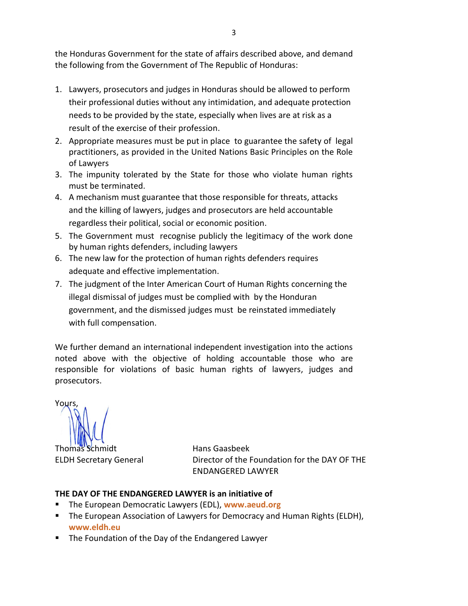the Honduras Government for the state of affairs described above, and demand the following from the Government of The Republic of Honduras:

- 1. Lawyers, prosecutors and judges in Honduras should be allowed to perform their professional duties without any intimidation, and adequate protection needs to be provided by the state, especially when lives are at risk as a result of the exercise of their profession.
- 2. Appropriate measures must be put in place to guarantee the safety of legal practitioners, as provided in the United Nations Basic Principles on the Role of Lawyers
- 3. The impunity tolerated by the State for those who violate human rights must be terminated.
- 4. A mechanism must guarantee that those responsible for threats, attacks and the killing of lawyers, judges and prosecutors are held accountable regardless their political, social or economic position.
- 5. The Government must recognise publicly the legitimacy of the work done by human rights defenders, including lawyers
- 6. The new law for the protection of human rights defenders requires adequate and effective implementation.
- 7. The judgment of the Inter American Court of Human Rights concerning the illegal dismissal of judges must be complied with by the Honduran government, and the dismissed judges must be reinstated immediately with full compensation.

We further demand an international independent investigation into the actions noted above with the objective of holding accountable those who are responsible for violations of basic human rights of lawyers, judges and prosecutors.

Yours,

Thomas Schmidt Hans Gaasbeek

ELDH Secretary General Director of the Foundation for the DAY OF THE ENDANGERED LAWYER

### **THE DAY OF THE ENDANGERED LAWYER is an initiative of**

- The European Democratic Lawyers (EDL), **[www.aeud.org](http://www.aeud.org/)**
- **The European Association of Lawyers for Democracy and Human Rights (ELDH), [www.eldh.eu](http://www.eldh.eu/)**
- **The Foundation of the Day of the Endangered Lawyer**